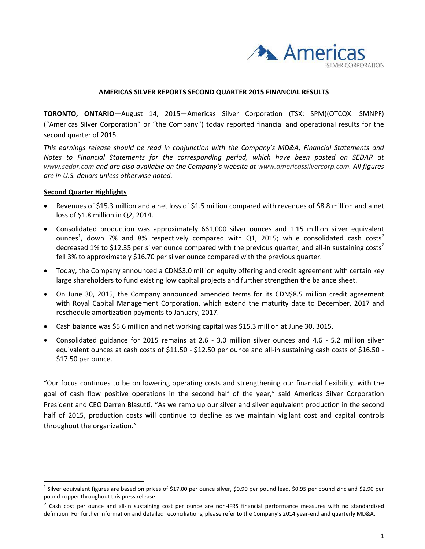

#### **AMERICAS SILVER REPORTS SECOND QUARTER 2015 FINANCIAL RESULTS**

**TORONTO, ONTARIO**—August 14, 2015—Americas Silver Corporation (TSX: SPM)(OTCQX: SMNPF) ("Americas Silver Corporation" or "the Company") today reported financial and operational results for the second quarter of 2015.

*This earnings release should be read in conjunction with the Company's MD&A, Financial Statements and Notes to Financial Statements for the corresponding period, which have been posted on SEDAR at www.sedar.com and are also available on the Company's website at www.americassilvercorp.com. All figures are in U.S. dollars unless otherwise noted.*

#### **Second Quarter Highlights**

-

- Revenues of \$15.3 million and a net loss of \$1.5 million compared with revenues of \$8.8 million and a net loss of \$1.8 million in Q2, 2014.
- Consolidated production was approximately 661,000 silver ounces and 1.15 million silver equivalent ounces<sup>1</sup>, down 7% and 8% respectively compared with Q1, 2015; while consolidated cash costs<sup>2</sup> decreased 1% to \$12.35 per silver ounce compared with the previous quarter, and all-in sustaining costs<sup>2</sup> fell 3% to approximately \$16.70 per silver ounce compared with the previous quarter.
- Today, the Company announced a CDN\$3.0 million equity offering and credit agreement with certain key large shareholders to fund existing low capital projects and further strengthen the balance sheet.
- On June 30, 2015, the Company announced amended terms for its CDN\$8.5 million credit agreement with Royal Capital Management Corporation, which extend the maturity date to December, 2017 and reschedule amortization payments to January, 2017.
- Cash balance was \$5.6 million and net working capital was \$15.3 million at June 30, 3015.
- Consolidated guidance for 2015 remains at 2.6 ‐ 3.0 million silver ounces and 4.6 ‐ 5.2 million silver equivalent ounces at cash costs of \$11.50 - \$12.50 per ounce and all-in sustaining cash costs of \$16.50 -\$17.50 per ounce.

"Our focus continues to be on lowering operating costs and strengthening our financial flexibility, with the goal of cash flow positive operations in the second half of the year," said Americas Silver Corporation President and CEO Darren Blasutti. "As we ramp up our silver and silver equivalent production in the second half of 2015, production costs will continue to decline as we maintain vigilant cost and capital controls throughout the organization."

 $1$  Silver equivalent figures are based on prices of \$17.00 per ounce silver, \$0.90 per pound lead, \$0.95 per pound zinc and \$2.90 per pound copper throughout this press release.

<sup>&</sup>lt;sup>2</sup> Cash cost per ounce and all-in sustaining cost per ounce are non-IFRS financial performance measures with no standardized definition. For further information and detailed reconciliations, please refer to the Company's 2014 year-end and quarterly MD&A.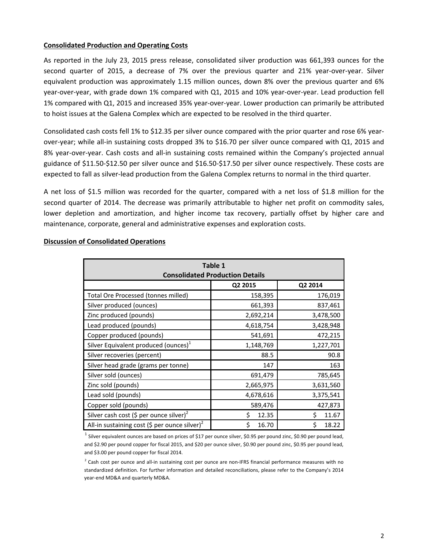## **Consolidated Production and Operating Costs**

As reported in the July 23, 2015 press release, consolidated silver production was 661,393 ounces for the second quarter of 2015, a decrease of 7% over the previous quarter and 21% year-over-year. Silver equivalent production was approximately 1.15 million ounces, down 8% over the previous quarter and 6% year‐over‐year, with grade down 1% compared with Q1, 2015 and 10% year‐over‐year. Lead production fell 1% compared with Q1, 2015 and increased 35% year‐over‐year. Lower production can primarily be attributed to hoist issues at the Galena Complex which are expected to be resolved in the third quarter.

Consolidated cash costs fell 1% to \$12.35 per silver ounce compared with the prior quarter and rose 6% year‐ over‐year; while all‐in sustaining costs dropped 3% to \$16.70 per silver ounce compared with Q1, 2015 and 8% year-over-year. Cash costs and all-in sustaining costs remained within the Company's projected annual guidance of \$11.50‐\$12.50 per silver ounce and \$16.50‐\$17.50 per silver ounce respectively. These costs are expected to fall as silver‐lead production from the Galena Complex returns to normal in the third quarter.

A net loss of \$1.5 million was recorded for the quarter, compared with a net loss of \$1.8 million for the second quarter of 2014. The decrease was primarily attributable to higher net profit on commodity sales, lower depletion and amortization, and higher income tax recovery, partially offset by higher care and maintenance, corporate, general and administrative expenses and exploration costs.

| Table 1<br><b>Consolidated Production Details</b>         |             |             |  |
|-----------------------------------------------------------|-------------|-------------|--|
|                                                           | Q2 2015     | Q2 2014     |  |
| Total Ore Processed (tonnes milled)                       | 158,395     | 176,019     |  |
| Silver produced (ounces)                                  | 661,393     | 837,461     |  |
| Zinc produced (pounds)                                    | 2,692,214   | 3,478,500   |  |
| Lead produced (pounds)                                    | 4,618,754   | 3,428,948   |  |
| Copper produced (pounds)                                  | 541,691     | 472,215     |  |
| Silver Equivalent produced (ounces) <sup>1</sup>          | 1,148,769   | 1,227,701   |  |
| Silver recoveries (percent)                               | 88.5        | 90.8        |  |
| Silver head grade (grams per tonne)                       | 147         | 163         |  |
| Silver sold (ounces)                                      | 691,479     | 785,645     |  |
| Zinc sold (pounds)                                        | 2,665,975   | 3,631,560   |  |
| Lead sold (pounds)                                        | 4,678,616   | 3,375,541   |  |
| Copper sold (pounds)                                      | 589,476     | 427,873     |  |
| Silver cash cost (\$ per ounce silver) <sup>2</sup>       | Ś.<br>12.35 | Š.<br>11.67 |  |
| All-in sustaining cost (\$ per ounce silver) <sup>2</sup> | Ś<br>16.70  | Ś.<br>18.22 |  |

#### **Discussion of Consolidated Operations**

<sup>1</sup> Silver equivalent ounces are based on prices of \$17 per ounce silver, \$0.95 per pound zinc, \$0.90 per pound lead, and \$2.90 per pound copper for fiscal 2015, and \$20 per ounce silver, \$0.90 per pound zinc, \$0.95 per pound lead, and \$3.00 per pound copper for fiscal 2014.

 $2$  Cash cost per ounce and all-in sustaining cost per ounce are non-IFRS financial performance measures with no standardized definition. For further information and detailed reconciliations, please refer to the Company's 2014 year‐end MD&A and quarterly MD&A.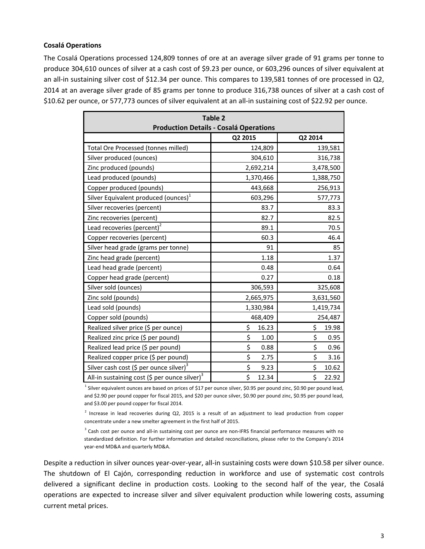#### **Cosalá Operations**

The Cosalá Operations processed 124,809 tonnes of ore at an average silver grade of 91 grams per tonne to produce 304,610 ounces of silver at a cash cost of \$9.23 per ounce, or 603,296 ounces of silver equivalent at an all-in sustaining silver cost of \$12.34 per ounce. This compares to 139,581 tonnes of ore processed in Q2, 2014 at an average silver grade of 85 grams per tonne to produce 316,738 ounces of silver at a cash cost of \$10.62 per ounce, or 577,773 ounces of silver equivalent at an all-in sustaining cost of \$22.92 per ounce.

| Table 2<br><b>Production Details - Cosalá Operations</b>  |             |             |  |
|-----------------------------------------------------------|-------------|-------------|--|
|                                                           | Q2 2015     | Q2 2014     |  |
| Total Ore Processed (tonnes milled)                       | 124,809     | 139,581     |  |
| Silver produced (ounces)                                  | 304,610     | 316,738     |  |
| Zinc produced (pounds)                                    | 2,692,214   | 3,478,500   |  |
| Lead produced (pounds)                                    | 1,370,466   | 1,388,750   |  |
| Copper produced (pounds)                                  | 443,668     | 256,913     |  |
| Silver Equivalent produced (ounces) <sup>1</sup>          | 603,296     | 577,773     |  |
| Silver recoveries (percent)                               | 83.7        | 83.3        |  |
| Zinc recoveries (percent)                                 | 82.7        | 82.5        |  |
| Lead recoveries (percent) <sup>2</sup>                    | 89.1        | 70.5        |  |
| Copper recoveries (percent)                               | 60.3        | 46.4        |  |
| Silver head grade (grams per tonne)                       | 91          | 85          |  |
| Zinc head grade (percent)                                 | 1.18        | 1.37        |  |
| Lead head grade (percent)                                 | 0.48        | 0.64        |  |
| Copper head grade (percent)                               | 0.27        | 0.18        |  |
| Silver sold (ounces)                                      | 306,593     | 325,608     |  |
| Zinc sold (pounds)                                        | 2,665,975   | 3,631,560   |  |
| Lead sold (pounds)                                        | 1,330,984   | 1,419,734   |  |
| Copper sold (pounds)                                      | 468,409     | 254,487     |  |
| Realized silver price (\$ per ounce)                      | \$<br>16.23 | \$<br>19.98 |  |
| Realized zinc price (\$ per pound)                        | \$<br>1.00  | \$<br>0.95  |  |
| Realized lead price (\$ per pound)                        | \$<br>0.88  | \$<br>0.96  |  |
| Realized copper price (\$ per pound)                      | \$<br>2.75  | \$<br>3.16  |  |
| Silver cash cost (\$ per ounce silver) $3$                | \$<br>9.23  | \$<br>10.62 |  |
| All-in sustaining cost (\$ per ounce silver) <sup>3</sup> | \$<br>12.34 | \$<br>22.92 |  |

<sup>1</sup> Silver equivalent ounces are based on prices of \$17 per ounce silver, \$0.95 per pound zinc, \$0.90 per pound lead, and \$2.90 per pound copper for fiscal 2015, and \$20 per ounce silver, \$0.90 per pound zinc, \$0.95 per pound lead, and \$3.00 per pound copper for fiscal 2014.

 $2$  Increase in lead recoveries during Q2, 2015 is a result of an adjustment to lead production from copper concentrate under a new smelter agreement in the first half of 2015.

<sup>3</sup> Cash cost per ounce and all-in sustaining cost per ounce are non-IFRS financial performance measures with no standardized definition. For further information and detailed reconciliations, please refer to the Company's 2014 year‐end MD&A and quarterly MD&A.

Despite a reduction in silver ounces year‐over‐year, all‐in sustaining costs were down \$10.58 per silver ounce. The shutdown of El Cajón, corresponding reduction in workforce and use of systematic cost controls delivered a significant decline in production costs. Looking to the second half of the year, the Cosalá operations are expected to increase silver and silver equivalent production while lowering costs, assuming current metal prices.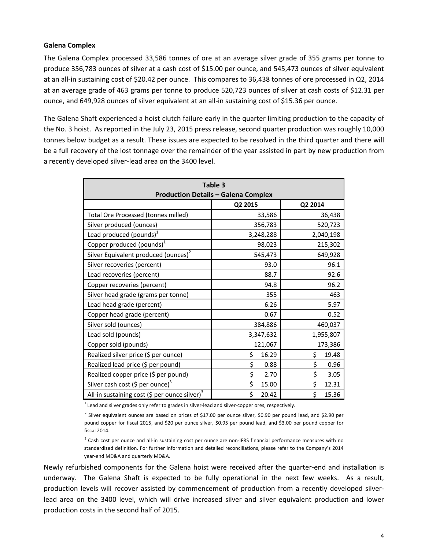#### **Galena Complex**

The Galena Complex processed 33,586 tonnes of ore at an average silver grade of 355 grams per tonne to produce 356,783 ounces of silver at a cash cost of \$15.00 per ounce, and 545,473 ounces of silver equivalent at an all‐in sustaining cost of \$20.42 per ounce. This compares to 36,438 tonnes of ore processed in Q2, 2014 at an average grade of 463 grams per tonne to produce 520,723 ounces of silver at cash costs of \$12.31 per ounce, and 649,928 ounces of silver equivalent at an all‐in sustaining cost of \$15.36 per ounce.

The Galena Shaft experienced a hoist clutch failure early in the quarter limiting production to the capacity of the No. 3 hoist. As reported in the July 23, 2015 press release, second quarter production was roughly 10,000 tonnes below budget as a result. These issues are expected to be resolved in the third quarter and there will be a full recovery of the lost tonnage over the remainder of the year assisted in part by new production from a recently developed silver‐lead area on the 3400 level.

| Table 3<br><b>Production Details - Galena Complex</b>     |             |             |  |
|-----------------------------------------------------------|-------------|-------------|--|
|                                                           | Q2 2015     | Q2 2014     |  |
| Total Ore Processed (tonnes milled)                       | 33,586      | 36,438      |  |
| Silver produced (ounces)                                  | 356,783     | 520,723     |  |
| Lead produced (pounds) <sup>1</sup>                       | 3,248,288   | 2,040,198   |  |
| Copper produced (pounds) $1$                              | 98,023      | 215,302     |  |
| Silver Equivalent produced (ounces) <sup>2</sup>          | 545,473     | 649,928     |  |
| Silver recoveries (percent)                               | 93.0        | 96.1        |  |
| Lead recoveries (percent)                                 | 88.7        | 92.6        |  |
| Copper recoveries (percent)                               | 94.8        | 96.2        |  |
| Silver head grade (grams per tonne)                       | 355         | 463         |  |
| Lead head grade (percent)                                 | 6.26        | 5.97        |  |
| Copper head grade (percent)                               | 0.67        | 0.52        |  |
| Silver sold (ounces)                                      | 384,886     | 460,037     |  |
| Lead sold (pounds)                                        | 3,347,632   | 1,955,807   |  |
| Copper sold (pounds)                                      | 121,067     | 173,386     |  |
| Realized silver price (\$ per ounce)                      | \$<br>16.29 | \$<br>19.48 |  |
| Realized lead price (\$ per pound)                        | \$<br>0.88  | \$<br>0.96  |  |
| Realized copper price (\$ per pound)                      | \$<br>2.70  | \$<br>3.05  |  |
| Silver cash cost (\$ per ounce) <sup>3</sup>              | \$<br>15.00 | \$<br>12.31 |  |
| All-in sustaining cost (\$ per ounce silver) <sup>3</sup> | \$<br>20.42 | \$<br>15.36 |  |

 $^{1}$ Lead and silver grades only refer to grades in silver-lead and silver-copper ores, respectively.

<sup>2</sup> Silver equivalent ounces are based on prices of \$17.00 per ounce silver, \$0.90 per pound lead, and \$2.90 per pound copper for fiscal 2015, and \$20 per ounce silver, \$0.95 per pound lead, and \$3.00 per pound copper for fiscal 2014.

<sup>3</sup> Cash cost per ounce and all-in sustaining cost per ounce are non-IFRS financial performance measures with no standardized definition. For further information and detailed reconciliations, please refer to the Company's 2014 year‐end MD&A and quarterly MD&A.

Newly refurbished components for the Galena hoist were received after the quarter‐end and installation is underway. The Galena Shaft is expected to be fully operational in the next few weeks. As a result, production levels will recover assisted by commencement of production from a recently developed silver‐ lead area on the 3400 level, which will drive increased silver and silver equivalent production and lower production costs in the second half of 2015.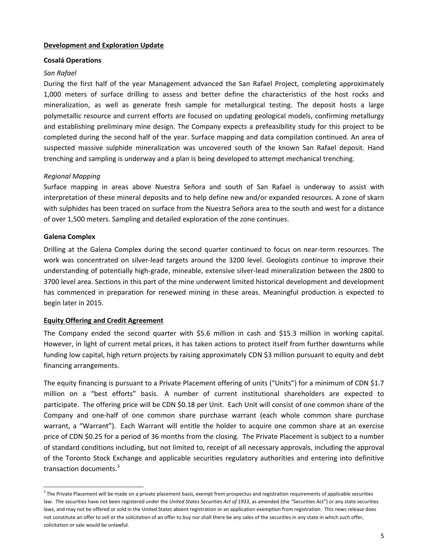## **Development and Exploration Update**

#### **Cosalá Operations**

## *San Rafael*

During the first half of the year Management advanced the San Rafael Project, completing approximately 1,000 meters of surface drilling to assess and better define the characteristics of the host rocks and mineralization, as well as generate fresh sample for metallurgical testing. The deposit hosts a large polymetallic resource and current efforts are focused on updating geological models, confirming metallurgy and establishing preliminary mine design. The Company expects a prefeasibility study for this project to be completed during the second half of the year. Surface mapping and data compilation continued. An area of suspected massive sulphide mineralization was uncovered south of the known San Rafael deposit. Hand trenching and sampling is underway and a plan is being developed to attempt mechanical trenching.

## *Regional Mapping*

Surface mapping in areas above Nuestra Señora and south of San Rafael is underway to assist with interpretation of these mineral deposits and to help define new and/or expanded resources. A zone of skarn with sulphides has been traced on surface from the Nuestra Señora area to the south and west for a distance of over 1,500 meters. Sampling and detailed exploration of the zone continues.

## **Galena Complex**

Drilling at the Galena Complex during the second quarter continued to focus on near‐term resources. The work was concentrated on silver-lead targets around the 3200 level. Geologists continue to improve their understanding of potentially high‐grade, mineable, extensive silver‐lead mineralization between the 2800 to 3700 level area. Sections in this part of the mine underwent limited historical development and development has commenced in preparation for renewed mining in these areas. Meaningful production is expected to begin later in 2015.

## **Equity Offering and Credit Agreement**

The Company ended the second quarter with \$5.6 million in cash and \$15.3 million in working capital. However, in light of current metal prices, it has taken actions to protect itself from further downturns while funding low capital, high return projects by raising approximately CDN \$3 million pursuant to equity and debt financing arrangements.

The equity financing is pursuant to a Private Placement offering of units ("Units") for a minimum of CDN \$1.7 million on a "best efforts" basis. A number of current institutional shareholders are expected to participate. The offering price will be CDN \$0.18 per Unit. Each Unit will consist of one common share of the Company and one‐half of one common share purchase warrant (each whole common share purchase warrant, a "Warrant"). Each Warrant will entitle the holder to acquire one common share at an exercise price of CDN \$0.25 for a period of 36 months from the closing. The Private Placement is subject to a number of standard conditions including, but not limited to, receipt of all necessary approvals, including the approval of the Toronto Stock Exchange and applicable securities regulatory authorities and entering into definitive transaction documents.<sup>3</sup>

 $3$  The Private Placement will be made on a private placement basis, exempt from prospectus and registration requirements of applicable securities law. The securities have not been registered under the *United States Securities Act of 1933*, as amended (the "Securities Act") or any state securities laws, and may not be offered or sold in the United States absent registration or an application exemption from registration. This news release does not constitute an offer to sell or the solicitation of an offer to buy nor shall there be any sales of the securities in any state in which such offer, solicitation or sale would be unlawful.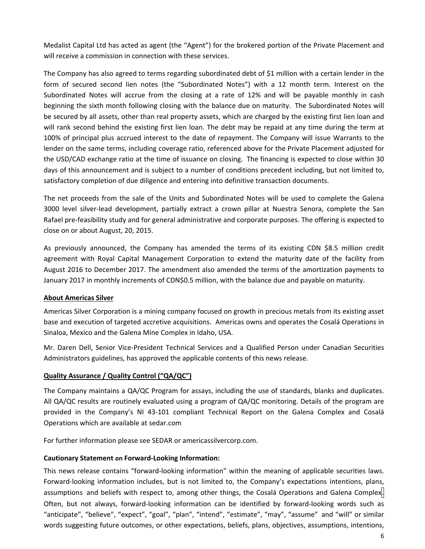Medalist Capital Ltd has acted as agent (the "Agent") for the brokered portion of the Private Placement and will receive a commission in connection with these services.

The Company has also agreed to terms regarding subordinated debt of \$1 million with a certain lender in the form of secured second lien notes (the "Subordinated Notes") with a 12 month term. Interest on the Subordinated Notes will accrue from the closing at a rate of 12% and will be payable monthly in cash beginning the sixth month following closing with the balance due on maturity. The Subordinated Notes will be secured by all assets, other than real property assets, which are charged by the existing first lien loan and will rank second behind the existing first lien loan. The debt may be repaid at any time during the term at 100% of principal plus accrued interest to the date of repayment. The Company will issue Warrants to the lender on the same terms, including coverage ratio, referenced above for the Private Placement adjusted for the USD/CAD exchange ratio at the time of issuance on closing. The financing is expected to close within 30 days of this announcement and is subject to a number of conditions precedent including, but not limited to, satisfactory completion of due diligence and entering into definitive transaction documents.

The net proceeds from the sale of the Units and Subordinated Notes will be used to complete the Galena 3000 level silver‐lead development, partially extract a crown pillar at Nuestra Senora, complete the San Rafael pre‐feasibility study and for general administrative and corporate purposes. The offering is expected to close on or about August, 20, 2015.

As previously announced, the Company has amended the terms of its existing CDN \$8.5 million credit agreement with Royal Capital Management Corporation to extend the maturity date of the facility from August 2016 to December 2017. The amendment also amended the terms of the amortization payments to January 2017 in monthly increments of CDN\$0.5 million, with the balance due and payable on maturity.

# **About Americas Silver**

Americas Silver Corporation is a mining company focused on growth in precious metals from its existing asset base and execution of targeted accretive acquisitions. Americas owns and operates the Cosalá Operations in Sinaloa, Mexico and the Galena Mine Complex in Idaho, USA.

Mr. Daren Dell, Senior Vice‐President Technical Services and a Qualified Person under Canadian Securities Administrators guidelines, has approved the applicable contents of this news release.

# **Quality Assurance / Quality Control ("QA/QC")**

The Company maintains a QA/QC Program for assays, including the use of standards, blanks and duplicates. All QA/QC results are routinely evaluated using a program of QA/QC monitoring. Details of the program are provided in the Company's NI 43‐101 compliant Technical Report on the Galena Complex and Cosalá Operations which are available at sedar.com

For further information please see SEDAR or americassilvercorp.com.

## **Cautionary Statement on Forward‐Looking Information:**

This news release contains "forward-looking information" within the meaning of applicable securities laws. Forward‐looking information includes, but is not limited to, the Company's expectations intentions, plans, assumptions and beliefs with respect to, among other things, the Cosalá Operations and Galena Complex. Often, but not always, forward‐looking information can be identified by forward‐looking words such as "anticipate", "believe", "expect", "goal", "plan", "intend", "estimate", "may", "assume" and "will" or similar words suggesting future outcomes, or other expectations, beliefs, plans, objectives, assumptions, intentions,